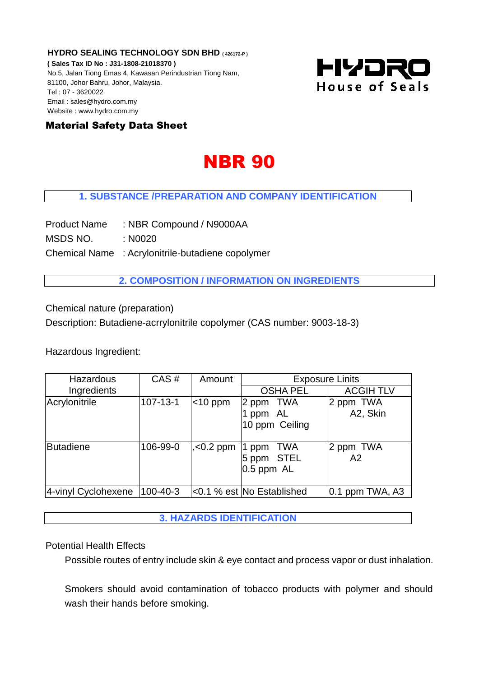**HYDRO SEALING TECHNOLOGY SDN BHD ( 426172-P ) ( Sales Tax ID No : J31-1808-21018370 )** No.5, Jalan Tiong Emas 4, Kawasan Perindustrian Tiong Nam, 81100, Johor Bahru, Johor, Malaysia. Tel : 07 - 3620022 Email : sales@hydro.com.my Website : www.hydro.com.my



# Material Safety Data Sheet

# **NBR 90**

## **1. SUBSTANCE /PREPARATION AND COMPANY IDENTIFICATION**

Product Name : NBR Compound / N9000AA

MSDS NO. : N0020

Chemical Name : Acrylonitrile-butadiene copolymer

**2. COMPOSITION / INFORMATION ON INGREDIENTS**

Chemical nature (preparation)

Description: Butadiene-acrrylonitrile copolymer (CAS number: 9003-18-3)

Hazardous Ingredient:

| Hazardous           | CAS#           | Amount        | <b>Exposure Linits</b>                          |                       |
|---------------------|----------------|---------------|-------------------------------------------------|-----------------------|
| Ingredients         |                |               | <b>OSHA PEL</b>                                 | <b>ACGIH TLV</b>      |
| Acrylonitrile       | $107 - 13 - 1$ | $ $ < 10 ppm  | 2 ppm TWA<br>ppm AL<br>10 ppm Ceiling           | 2 ppm TWA<br>A2, Skin |
| <b>Butadiene</b>    | 106-99-0       | $, < 0.2$ ppm | TWA<br>$ 1$ ppm<br>5 ppm STEL<br>$0.5$ ppm $AL$ | 2 ppm TWA<br>A2       |
| 4-vinyl Cyclohexene | 100-40-3       |               | <0.1 % est No Established                       | $0.1$ ppm TWA, A3     |

**3. HAZARDS IDENTIFICATION** 

## Potential Health Effects

Possible routes of entry include skin & eye contact and process vapor or dust inhalation.

Smokers should avoid contamination of tobacco products with polymer and should wash their hands before smoking.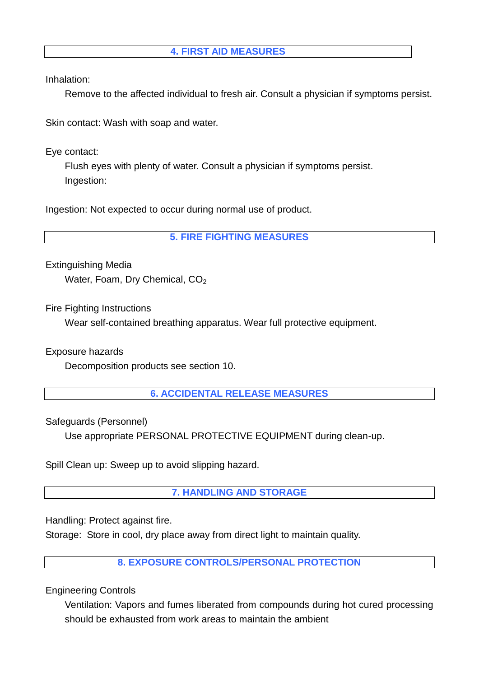# **4. FIRST AID MEASURES**

Inhalation:

Remove to the affected individual to fresh air. Consult a physician if symptoms persist.

Skin contact: Wash with soap and water.

Eye contact:

Flush eyes with plenty of water. Consult a physician if symptoms persist. Ingestion:

Ingestion: Not expected to occur during normal use of product.

**5. FIRE FIGHTING MEASURES**

Extinguishing Media Water, Foam, Dry Chemical, CO<sub>2</sub>

Fire Fighting Instructions

Wear self-contained breathing apparatus. Wear full protective equipment.

Exposure hazards

Decomposition products see section 10.

**6. ACCIDENTAL RELEASE MEASURES**

Safeguards (Personnel)

Use appropriate PERSONAL PROTECTIVE EQUIPMENT during clean-up.

Spill Clean up: Sweep up to avoid slipping hazard.

**7. HANDLING AND STORAGE**

Handling: Protect against fire.

Storage: Store in cool, dry place away from direct light to maintain quality.

**8. EXPOSURE CONTROLS/PERSONAL PROTECTION**

Engineering Controls

Ventilation: Vapors and fumes liberated from compounds during hot cured processing should be exhausted from work areas to maintain the ambient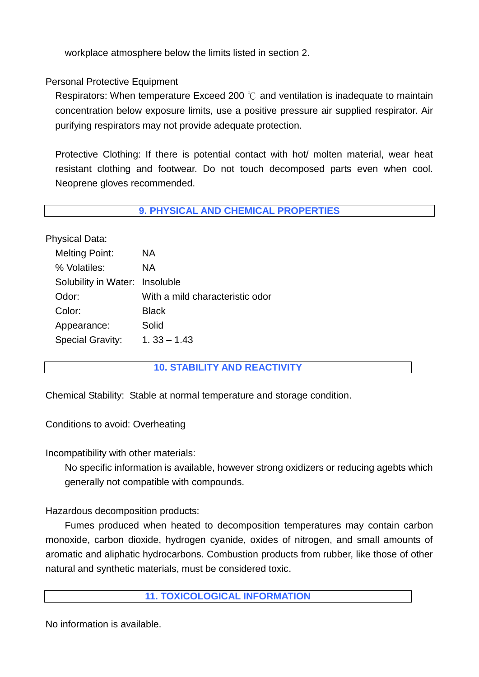workplace atmosphere below the limits listed in section 2.

# Personal Protective Equipment

Respirators: When temperature Exceed 200 ℃ and ventilation is inadequate to maintain concentration below exposure limits, use a positive pressure air supplied respirator. Air purifying respirators may not provide adequate protection.

Protective Clothing: If there is potential contact with hot/ molten material, wear heat resistant clothing and footwear. Do not touch decomposed parts even when cool. Neoprene gloves recommended.

#### **9. PHYSICAL AND CHEMICAL PROPERTIES**

Physical Data:

| <b>Melting Point:</b>          | NА                              |
|--------------------------------|---------------------------------|
| % Volatiles:                   | NА                              |
| Solubility in Water: Insoluble |                                 |
| Odor:                          | With a mild characteristic odor |
| Color:                         | <b>Black</b>                    |
| Appearance:                    | Solid                           |
| Special Gravity:               | $1.33 - 1.43$                   |

## **10. STABILITY AND REACTIVITY**

Chemical Stability: Stable at normal temperature and storage condition.

Conditions to avoid: Overheating

Incompatibility with other materials:

No specific information is available, however strong oxidizers or reducing agebts which generally not compatible with compounds.

Hazardous decomposition products:

Fumes produced when heated to decomposition temperatures may contain carbon monoxide, carbon dioxide, hydrogen cyanide, oxides of nitrogen, and small amounts of aromatic and aliphatic hydrocarbons. Combustion products from rubber, like those of other natural and synthetic materials, must be considered toxic.

#### **11. TOXICOLOGICAL INFORMATION**

No information is available.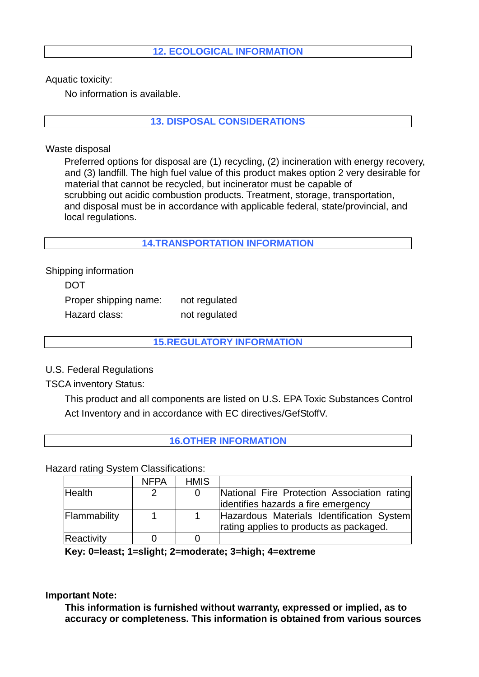## **12. ECOLOGICAL INFORMATION**

Aquatic toxicity:

No information is available.

**13. DISPOSAL CONSIDERATIONS** 

Waste disposal

 Preferred options for disposal are (1) recycling, (2) incineration with energy recovery, and (3) landfill. The high fuel value of this product makes option 2 very desirable for material that cannot be recycled, but incinerator must be capable of scrubbing out acidic combustion products. Treatment, storage, transportation, and disposal must be in accordance with applicable federal, state/provincial, and local regulations.

**14.TRANSPORTATION INFORMATION** 

Shipping information DOT Proper shipping name: not regulated Hazard class: not regulated

## **15.REGULATORY INFORMATION**

U.S. Federal Regulations

TSCA inventory Status:

This product and all components are listed on U.S. EPA Toxic Substances Control Act Inventory and in accordance with EC directives/GefStoffV.

# **16.OTHER INFORMATION**

Hazard rating System Classifications:

|               | <b>NFPA</b> | <b>HMIS</b> |                                             |
|---------------|-------------|-------------|---------------------------------------------|
| <b>Health</b> |             |             | National Fire Protection Association rating |
|               |             |             | identifies hazards a fire emergency         |
| Flammability  |             |             | Hazardous Materials Identification System   |
|               |             |             | rating applies to products as packaged.     |
| Reactivity    |             |             |                                             |

**Key: 0=least; 1=slight; 2=moderate; 3=high; 4=extreme**

**Important Note:**

**This information is furnished without warranty, expressed or implied, as to accuracy or completeness. This information is obtained from various sources**